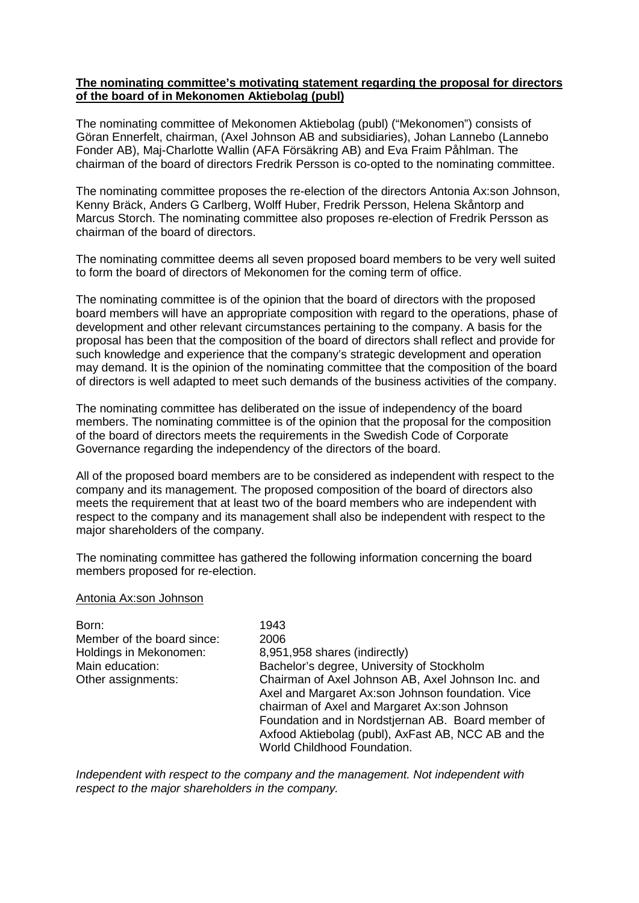# **The nominating committee's motivating statement regarding the proposal for directors of the board of in Mekonomen Aktiebolag (publ)**

The nominating committee of Mekonomen Aktiebolag (publ) ("Mekonomen") consists of Göran Ennerfelt, chairman, (Axel Johnson AB and subsidiaries), Johan Lannebo (Lannebo Fonder AB), Maj-Charlotte Wallin (AFA Försäkring AB) and Eva Fraim Påhlman. The chairman of the board of directors Fredrik Persson is co-opted to the nominating committee.

The nominating committee proposes the re-election of the directors Antonia Ax:son Johnson, Kenny Bräck, Anders G Carlberg, Wolff Huber, Fredrik Persson, Helena Skåntorp and Marcus Storch. The nominating committee also proposes re-election of Fredrik Persson as chairman of the board of directors.

The nominating committee deems all seven proposed board members to be very well suited to form the board of directors of Mekonomen for the coming term of office.

The nominating committee is of the opinion that the board of directors with the proposed board members will have an appropriate composition with regard to the operations, phase of development and other relevant circumstances pertaining to the company. A basis for the proposal has been that the composition of the board of directors shall reflect and provide for such knowledge and experience that the company's strategic development and operation may demand. It is the opinion of the nominating committee that the composition of the board of directors is well adapted to meet such demands of the business activities of the company.

The nominating committee has deliberated on the issue of independency of the board members. The nominating committee is of the opinion that the proposal for the composition of the board of directors meets the requirements in the Swedish Code of Corporate Governance regarding the independency of the directors of the board.

All of the proposed board members are to be considered as independent with respect to the company and its management. The proposed composition of the board of directors also meets the requirement that at least two of the board members who are independent with respect to the company and its management shall also be independent with respect to the major shareholders of the company.

The nominating committee has gathered the following information concerning the board members proposed for re-election.

#### Antonia Ax:son Johnson

| Born:<br>Member of the board since:<br>Holdings in Mekonomen:<br>Main education:<br>Other assignments: | 1943<br>2006<br>8,951,958 shares (indirectly)<br>Bachelor's degree, University of Stockholm<br>Chairman of Axel Johnson AB, Axel Johnson Inc. and<br>Axel and Margaret Ax:son Johnson foundation. Vice<br>chairman of Axel and Margaret Ax:son Johnson<br>Foundation and in Nordstjernan AB. Board member of<br>Axfood Aktiebolag (publ), AxFast AB, NCC AB and the<br>World Childhood Foundation. |
|--------------------------------------------------------------------------------------------------------|----------------------------------------------------------------------------------------------------------------------------------------------------------------------------------------------------------------------------------------------------------------------------------------------------------------------------------------------------------------------------------------------------|
|--------------------------------------------------------------------------------------------------------|----------------------------------------------------------------------------------------------------------------------------------------------------------------------------------------------------------------------------------------------------------------------------------------------------------------------------------------------------------------------------------------------------|

*Independent with respect to the company and the management. Not independent with respect to the major shareholders in the company.*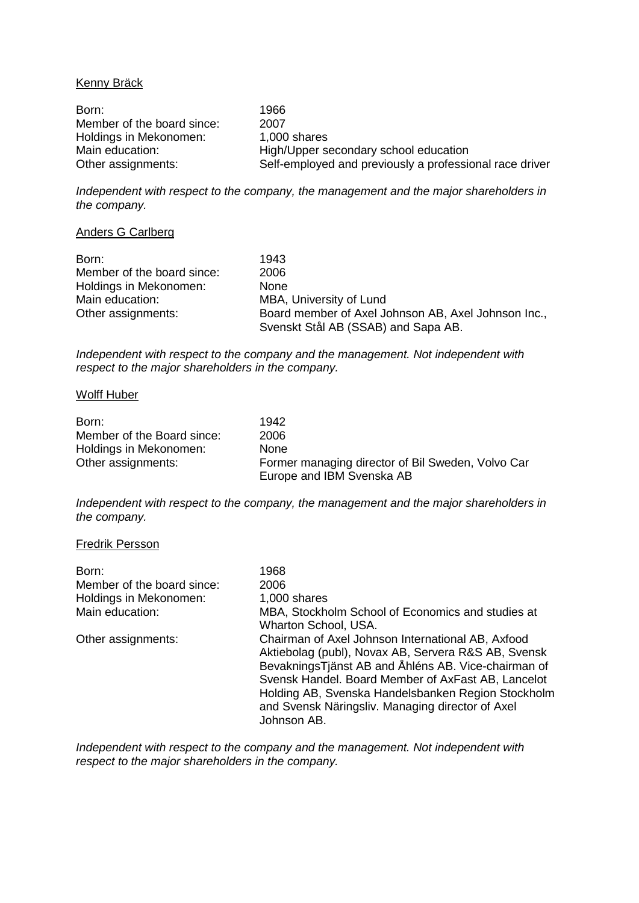## Kenny Bräck

Born: 1966 Member of the board since: 2007<br>Holdings in Mekonomen: 1,000 shares Holdings in Mekonomen:<br>Main education: Main education: High/Upper secondary school education<br>Other assignments: Self-employed and previously a profession Self-employed and previously a professional race driver

*Independent with respect to the company, the management and the major shareholders in the company.*

### Anders G Carlberg

| Born:                      | 1943                                                                                       |
|----------------------------|--------------------------------------------------------------------------------------------|
| Member of the board since: | 2006                                                                                       |
| Holdings in Mekonomen:     | <b>None</b>                                                                                |
| Main education:            | MBA, University of Lund                                                                    |
| Other assignments:         | Board member of Axel Johnson AB, Axel Johnson Inc.,<br>Svenskt Stål AB (SSAB) and Sapa AB. |

*Independent with respect to the company and the management. Not independent with respect to the major shareholders in the company.*

### Wolff Huber

| Born:                      | 1942                                              |
|----------------------------|---------------------------------------------------|
| Member of the Board since: | 2006                                              |
| Holdings in Mekonomen:     | <b>None</b>                                       |
| Other assignments:         | Former managing director of Bil Sweden, Volvo Car |
|                            | Europe and IBM Svenska AB                         |

*Independent with respect to the company, the management and the major shareholders in the company.*

#### Fredrik Persson

| Born:                      | 1968                                                |
|----------------------------|-----------------------------------------------------|
| Member of the board since: | 2006                                                |
| Holdings in Mekonomen:     | 1,000 shares                                        |
| Main education:            | MBA, Stockholm School of Economics and studies at   |
|                            | Wharton School, USA.                                |
| Other assignments:         | Chairman of Axel Johnson International AB, Axfood   |
|                            | Aktiebolag (publ), Novax AB, Servera R&S AB, Svensk |
|                            | BevakningsTjänst AB and Åhléns AB. Vice-chairman of |
|                            | Svensk Handel. Board Member of AxFast AB, Lancelot  |
|                            | Holding AB, Svenska Handelsbanken Region Stockholm  |
|                            | and Svensk Näringsliv. Managing director of Axel    |
|                            | Johnson AB.                                         |

*Independent with respect to the company and the management. Not independent with respect to the major shareholders in the company.*